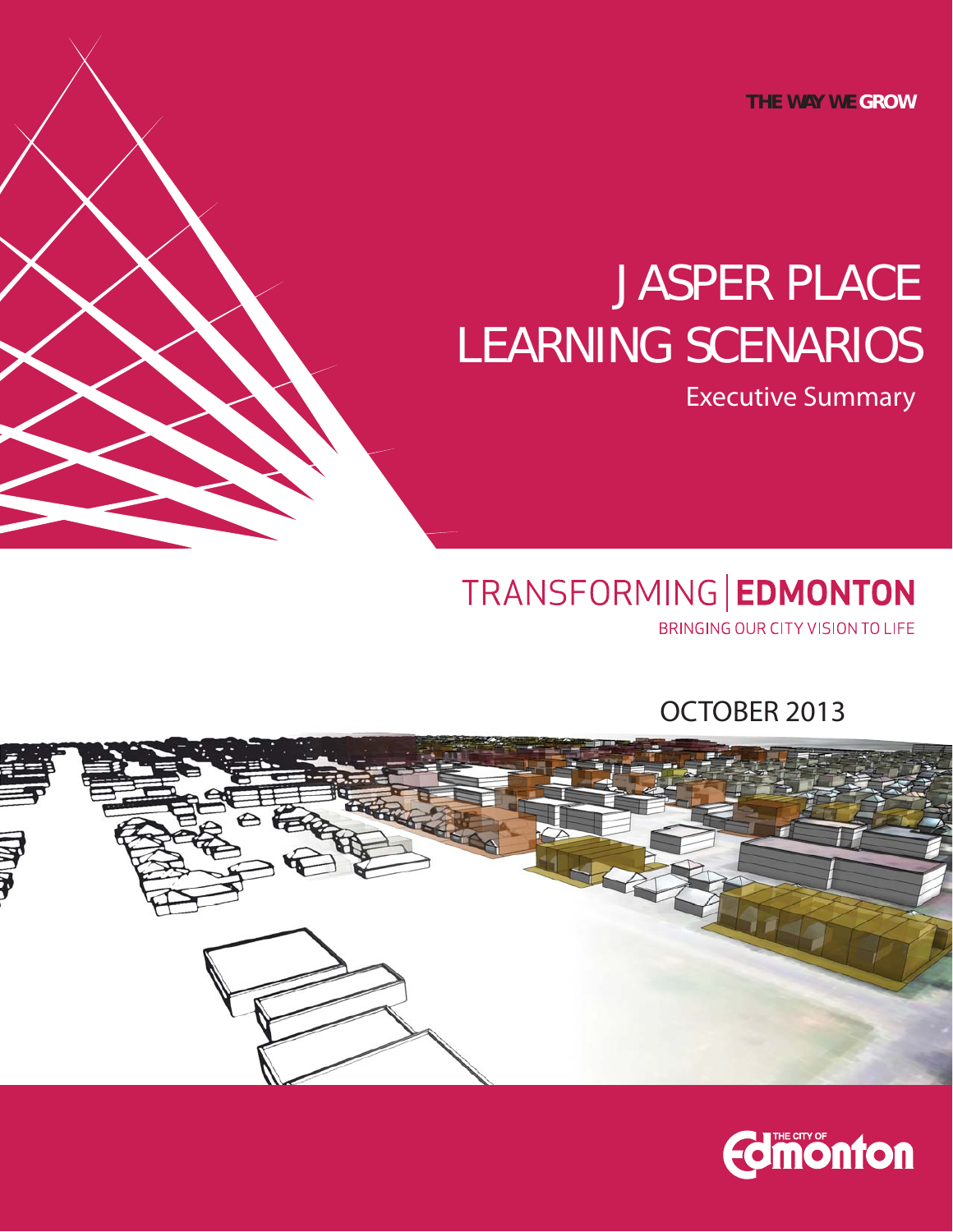**THE WAY WE GROW**

# JASPER PLACE LEARNING SCENARIOS

Executive Summary

# TRANSFORMING | EDMONTON

BRINGING OUR CITY VISION TO LIFE

OCTOBER 2013



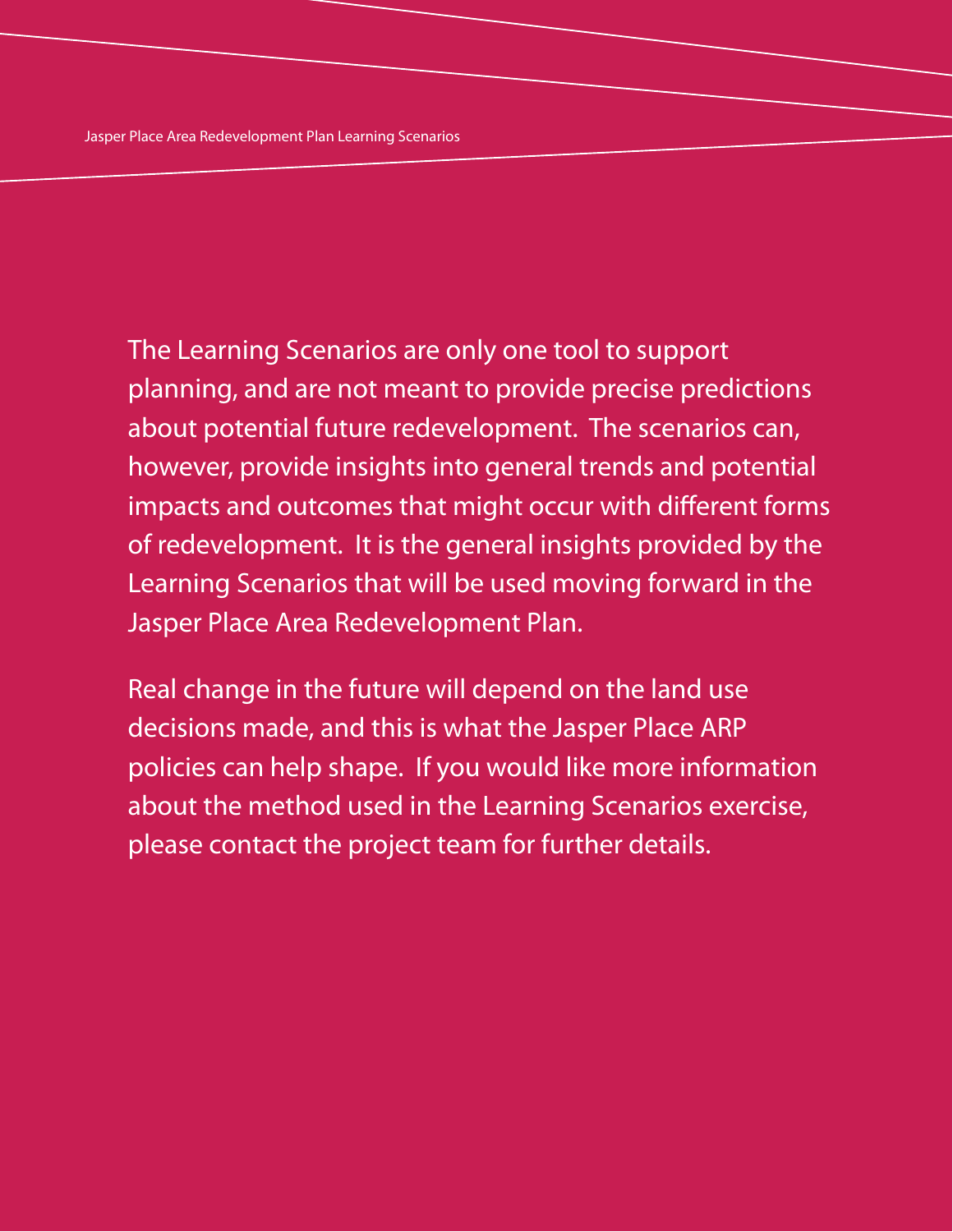The Learning Scenarios are only one tool to support planning, and are not meant to provide precise predictions about potential future redevelopment. The scenarios can, however, provide insights into general trends and potential impacts and outcomes that might occur with different forms of redevelopment. It is the general insights provided by the Learning Scenarios that will be used moving forward in the Jasper Place Area Redevelopment Plan.

Real change in the future will depend on the land use decisions made, and this is what the Jasper Place ARP policies can help shape. If you would like more information about the method used in the Learning Scenarios exercise, please contact the project team for further details.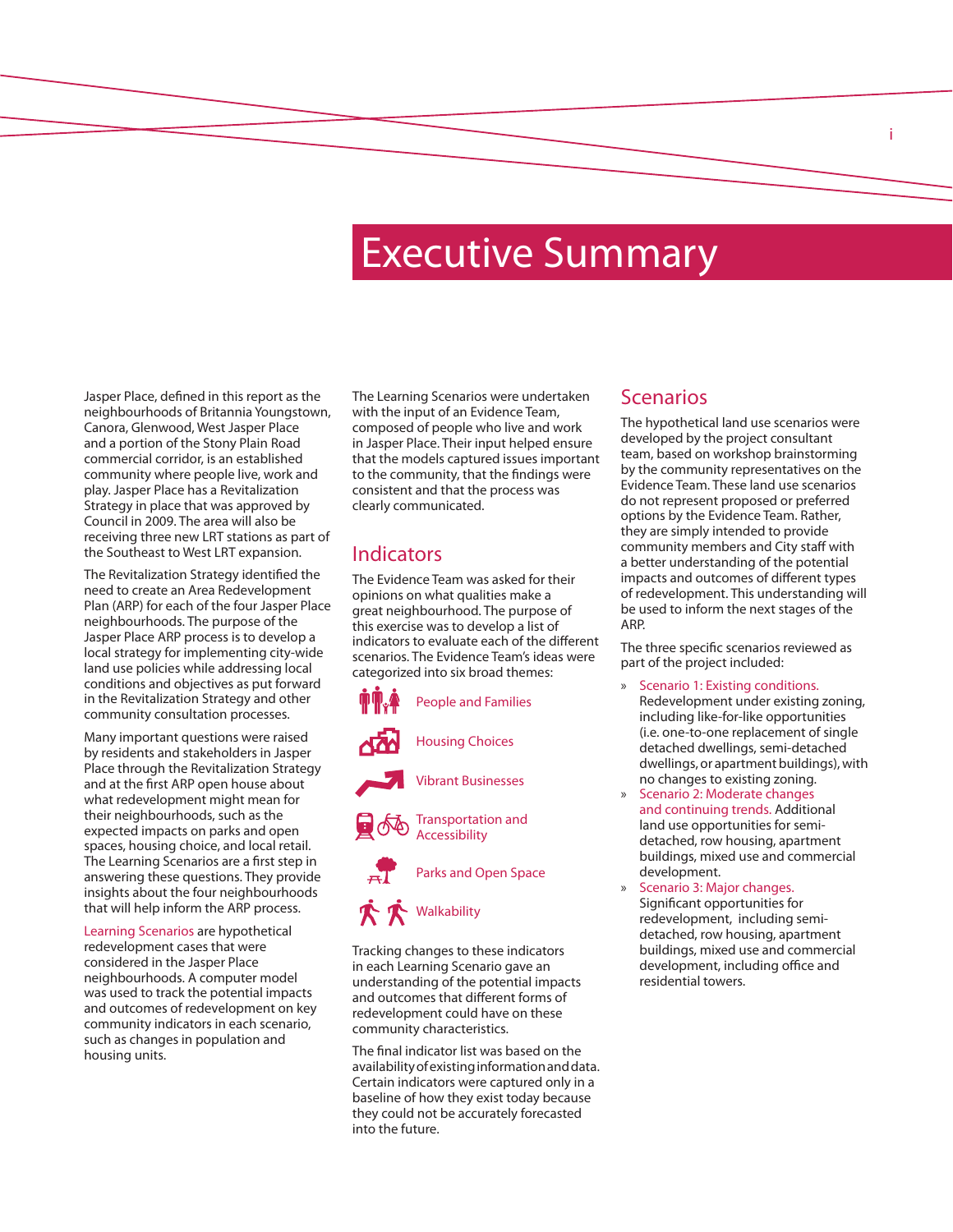# Executive Summary

Jasper Place, defined in this report as the neighbourhoods of Britannia Youngstown, Canora, Glenwood, West Jasper Place and a portion of the Stony Plain Road commercial corridor, is an established community where people live, work and play. Jasper Place has a Revitalization Strategy in place that was approved by Council in 2009. The area will also be receiving three new LRT stations as part of the Southeast to West LRT expansion.

The Revitalization Strategy identified the need to create an Area Redevelopment Plan (ARP) for each of the four Jasper Place neighbourhoods. The purpose of the Jasper Place ARP process is to develop a local strategy for implementing city-wide land use policies while addressing local conditions and objectives as put forward in the Revitalization Strategy and other community consultation processes.

Many important questions were raised by residents and stakeholders in Jasper Place through the Revitalization Strategy and at the first ARP open house about what redevelopment might mean for their neighbourhoods, such as the expected impacts on parks and open spaces, housing choice, and local retail. The Learning Scenarios are a first step in answering these questions. They provide insights about the four neighbourhoods that will help inform the ARP process.

Learning Scenarios are hypothetical redevelopment cases that were considered in the Jasper Place neighbourhoods. A computer model was used to track the potential impacts and outcomes of redevelopment on key community indicators in each scenario, such as changes in population and housing units.

The Learning Scenarios were undertaken with the input of an Evidence Team, composed of people who live and work in Jasper Place. Their input helped ensure that the models captured issues important to the community, that the findings were consistent and that the process was clearly communicated.

### Indicators

The Evidence Team was asked for their opinions on what qualities make a great neighbourhood. The purpose of this exercise was to develop a list of indicators to evaluate each of the different scenarios. The Evidence Team's ideas were categorized into six broad themes:



Tracking changes to these indicators in each Learning Scenario gave an understanding of the potential impacts and outcomes that different forms of redevelopment could have on these community characteristics.

The final indicator list was based on the availability of existing information and data. Certain indicators were captured only in a baseline of how they exist today because they could not be accurately forecasted into the future.

#### Scenarios

The hypothetical land use scenarios were developed by the project consultant team, based on workshop brainstorming by the community representatives on the Evidence Team. These land use scenarios do not represent proposed or preferred options by the Evidence Team. Rather, they are simply intended to provide community members and City staff with a better understanding of the potential impacts and outcomes of different types of redevelopment. This understanding will be used to inform the next stages of the ARP.

i

The three specific scenarios reviewed as part of the project included:

- Scenario 1: Existing conditions. Redevelopment under existing zoning, including like-for-like opportunities (i.e. one-to-one replacement of single detached dwellings, semi-detached dwellings, or apartment buildings), with no changes to existing zoning.
- Scenario 2: Moderate changes and continuing trends. Additional land use opportunities for semidetached, row housing, apartment buildings, mixed use and commercial development.
- » Scenario 3: Major changes. Significant opportunities for redevelopment, including semidetached, row housing, apartment buildings, mixed use and commercial development, including office and residential towers.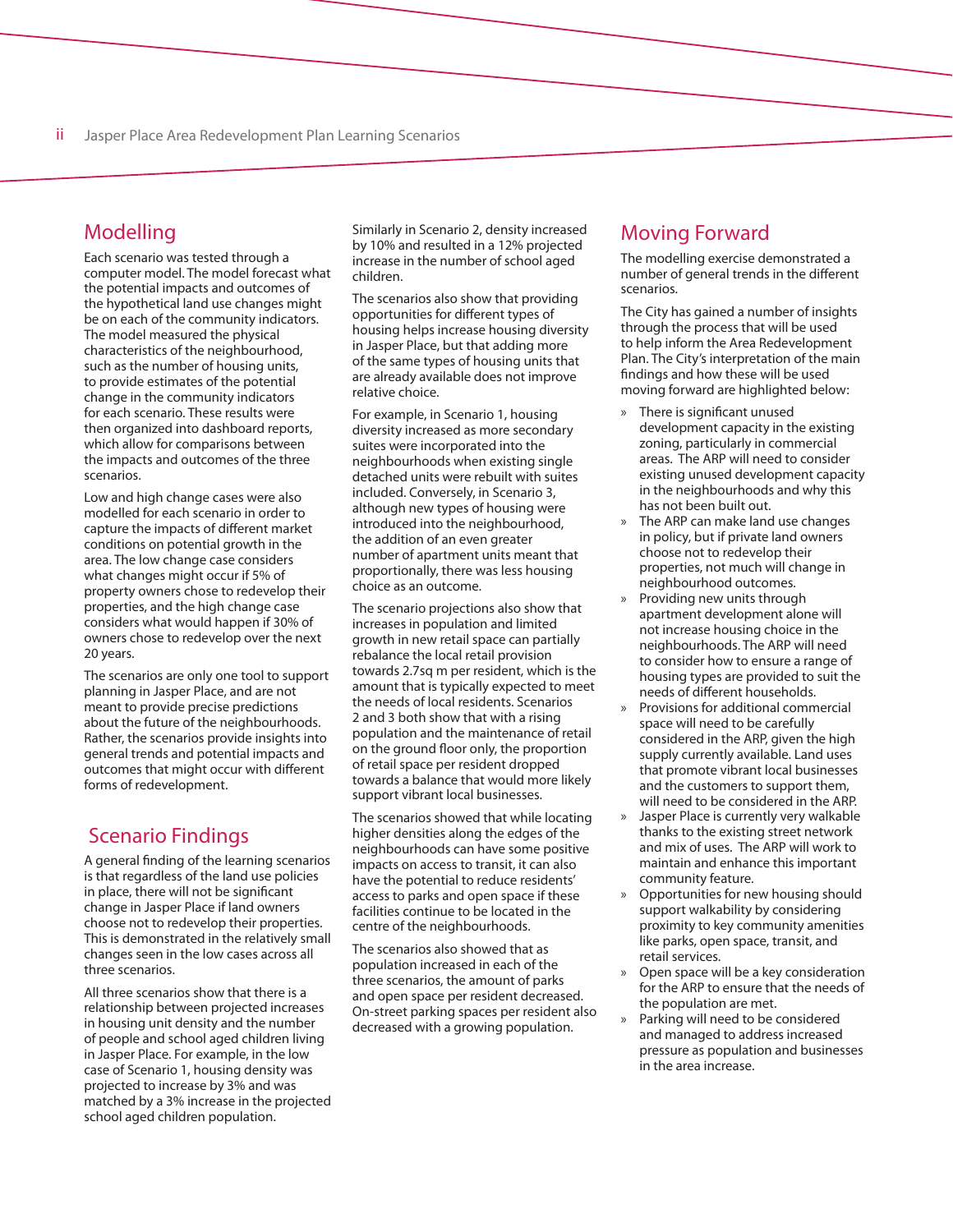### Modelling

Each scenario was tested through a computer model. The model forecast what the potential impacts and outcomes of the hypothetical land use changes might be on each of the community indicators. The model measured the physical characteristics of the neighbourhood, such as the number of housing units, to provide estimates of the potential change in the community indicators for each scenario. These results were then organized into dashboard reports, which allow for comparisons between the impacts and outcomes of the three scenarios.

Low and high change cases were also modelled for each scenario in order to capture the impacts of different market conditions on potential growth in the area. The low change case considers what changes might occur if 5% of property owners chose to redevelop their properties, and the high change case considers what would happen if 30% of owners chose to redevelop over the next 20 years.

The scenarios are only one tool to support planning in Jasper Place, and are not meant to provide precise predictions about the future of the neighbourhoods. Rather, the scenarios provide insights into general trends and potential impacts and outcomes that might occur with different forms of redevelopment.

### Scenario Findings

A general finding of the learning scenarios is that regardless of the land use policies in place, there will not be significant change in Jasper Place if land owners choose not to redevelop their properties. This is demonstrated in the relatively small changes seen in the low cases across all three scenarios.

All three scenarios show that there is a relationship between projected increases in housing unit density and the number of people and school aged children living in Jasper Place. For example, in the low case of Scenario 1, housing density was projected to increase by 3% and was matched by a 3% increase in the projected school aged children population.

Similarly in Scenario 2, density increased by 10% and resulted in a 12% projected increase in the number of school aged children.

The scenarios also show that providing opportunities for different types of housing helps increase housing diversity in Jasper Place, but that adding more of the same types of housing units that are already available does not improve relative choice.

For example, in Scenario 1, housing diversity increased as more secondary suites were incorporated into the neighbourhoods when existing single detached units were rebuilt with suites included. Conversely, in Scenario 3, although new types of housing were introduced into the neighbourhood, the addition of an even greater number of apartment units meant that proportionally, there was less housing choice as an outcome.

The scenario projections also show that increases in population and limited growth in new retail space can partially rebalance the local retail provision towards 2.7sq m per resident, which is the amount that is typically expected to meet the needs of local residents. Scenarios 2 and 3 both show that with a rising population and the maintenance of retail on the ground floor only, the proportion of retail space per resident dropped towards a balance that would more likely support vibrant local businesses.

The scenarios showed that while locating higher densities along the edges of the neighbourhoods can have some positive impacts on access to transit, it can also have the potential to reduce residents' access to parks and open space if these facilities continue to be located in the centre of the neighbourhoods.

The scenarios also showed that as population increased in each of the three scenarios, the amount of parks and open space per resident decreased. On-street parking spaces per resident also decreased with a growing population.

#### Moving Forward

The modelling exercise demonstrated a number of general trends in the different scenarios.

The City has gained a number of insights through the process that will be used to help inform the Area Redevelopment Plan. The City's interpretation of the main findings and how these will be used moving forward are highlighted below:

- » There is significant unused development capacity in the existing zoning, particularly in commercial areas. The ARP will need to consider existing unused development capacity in the neighbourhoods and why this has not been built out.
- » The ARP can make land use changes in policy, but if private land owners choose not to redevelop their properties, not much will change in neighbourhood outcomes.
- Providing new units through apartment development alone will not increase housing choice in the neighbourhoods. The ARP will need to consider how to ensure a range of housing types are provided to suit the needs of different households.
- » Provisions for additional commercial space will need to be carefully considered in the ARP, given the high supply currently available. Land uses that promote vibrant local businesses and the customers to support them, will need to be considered in the ARP.
- » Jasper Place is currently very walkable thanks to the existing street network and mix of uses. The ARP will work to maintain and enhance this important community feature.
- » Opportunities for new housing should support walkability by considering proximity to key community amenities like parks, open space, transit, and retail services.
- » Open space will be a key consideration for the ARP to ensure that the needs of the population are met.
- » Parking will need to be considered and managed to address increased pressure as population and businesses in the area increase.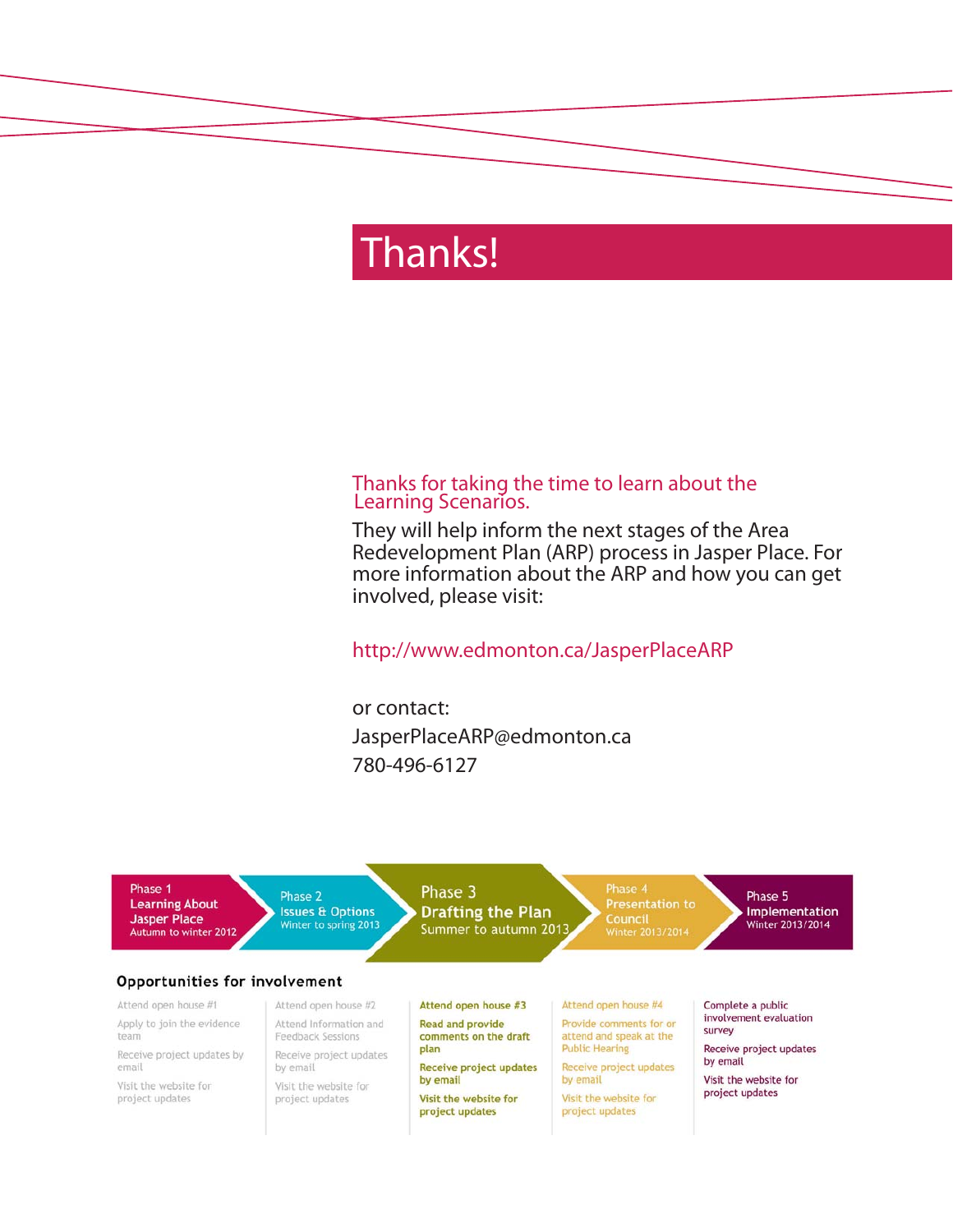# Thanks!

#### Thanks for taking the time to learn about the Learning Scenarios.

They will help inform the next stages of the Area Redevelopment Plan (ARP) process in Jasper Place. For more information about the ARP and how you can get involved, please visit:

http://www.edmonton.ca/JasperPlaceARP

or contact: JasperPlaceARP@edmonton.ca 780-496-6127

Phase 1 Phase 3 Phase 2 Phase 5 **Learning About Issues & Options Drafting the Plan** Implementation Council<br>Winter 2013/2014 **Jasper Place** Winter 2013/2014 Winter to spring 2013 Summer to autumn 2013 Autumn to winter 2012 Opportunities for involvement Attend open house #1 Attend open house #2 Attend open house #3 Attend open house #4 Complete a public involvement evaluation Apply to join the evidence Provide comments for or Attend Information and **Read and provide** survey attend and speak at the team Feedback Sessions comments on the draft **Public Hearing** plan Receive project updates Receive project updates by Receive project updates by email email by email Receive project updates Receive project updates by email by email Visit the website for Visit the website for Visit the website for project updates Visit the website for project updates Visit the website for project updates project updates project updates